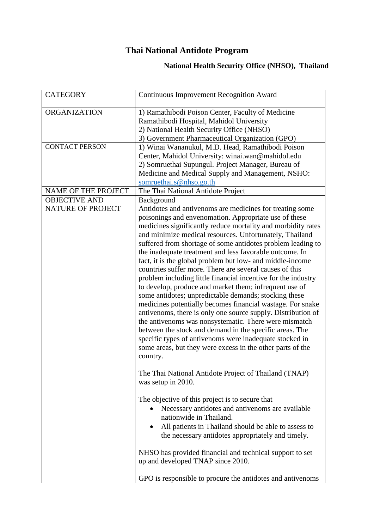## **Thai National Antidote Program**

## **National Health Security Office (NHSO), Thailand**

| <b>CATEGORY</b>                                  | <b>Continuous Improvement Recognition Award</b>                                                                                                                                                                                                                                                                                                                                                                                                                                                                                                                                                                                                                                                                                                                                                                                                                                                                                                                                                                                                                                         |
|--------------------------------------------------|-----------------------------------------------------------------------------------------------------------------------------------------------------------------------------------------------------------------------------------------------------------------------------------------------------------------------------------------------------------------------------------------------------------------------------------------------------------------------------------------------------------------------------------------------------------------------------------------------------------------------------------------------------------------------------------------------------------------------------------------------------------------------------------------------------------------------------------------------------------------------------------------------------------------------------------------------------------------------------------------------------------------------------------------------------------------------------------------|
| <b>ORGANIZATION</b>                              | 1) Ramathibodi Poison Center, Faculty of Medicine<br>Ramathibodi Hospital, Mahidol University<br>2) National Health Security Office (NHSO)<br>3) Government Pharmaceutical Organization (GPO)                                                                                                                                                                                                                                                                                                                                                                                                                                                                                                                                                                                                                                                                                                                                                                                                                                                                                           |
| <b>CONTACT PERSON</b>                            | 1) Winai Wananukul, M.D. Head, Ramathibodi Poison<br>Center, Mahidol University: winai.wan@mahidol.edu<br>2) Somruethai Supungul. Project Manager, Bureau of<br>Medicine and Medical Supply and Management, NSHO:<br>somruethai.s@nhso.go.th                                                                                                                                                                                                                                                                                                                                                                                                                                                                                                                                                                                                                                                                                                                                                                                                                                            |
| NAME OF THE PROJECT                              | The Thai National Antidote Project                                                                                                                                                                                                                                                                                                                                                                                                                                                                                                                                                                                                                                                                                                                                                                                                                                                                                                                                                                                                                                                      |
| <b>OBJECTIVE AND</b><br><b>NATURE OF PROJECT</b> | Background<br>Antidotes and antivenoms are medicines for treating some<br>poisonings and envenomation. Appropriate use of these<br>medicines significantly reduce mortality and morbidity rates<br>and minimize medical resources. Unfortunately, Thailand<br>suffered from shortage of some antidotes problem leading to<br>the inadequate treatment and less favorable outcome. In<br>fact, it is the global problem but low- and middle-income<br>countries suffer more. There are several causes of this<br>problem including little financial incentive for the industry<br>to develop, produce and market them; infrequent use of<br>some antidotes; unpredictable demands; stocking these<br>medicines potentially becomes financial wastage. For snake<br>antivenoms, there is only one source supply. Distribution of<br>the antivenoms was nonsystematic. There were mismatch<br>between the stock and demand in the specific areas. The<br>specific types of antivenoms were inadequate stocked in<br>some areas, but they were excess in the other parts of the<br>country. |
|                                                  | The Thai National Antidote Project of Thailand (TNAP)<br>was setup in 2010.<br>The objective of this project is to secure that<br>Necessary antidotes and antivenoms are available<br>nationwide in Thailand.<br>All patients in Thailand should be able to assess to                                                                                                                                                                                                                                                                                                                                                                                                                                                                                                                                                                                                                                                                                                                                                                                                                   |
|                                                  | the necessary antidotes appropriately and timely.                                                                                                                                                                                                                                                                                                                                                                                                                                                                                                                                                                                                                                                                                                                                                                                                                                                                                                                                                                                                                                       |
|                                                  | NHSO has provided financial and technical support to set<br>up and developed TNAP since 2010.                                                                                                                                                                                                                                                                                                                                                                                                                                                                                                                                                                                                                                                                                                                                                                                                                                                                                                                                                                                           |
|                                                  | GPO is responsible to procure the antidotes and antivenoms                                                                                                                                                                                                                                                                                                                                                                                                                                                                                                                                                                                                                                                                                                                                                                                                                                                                                                                                                                                                                              |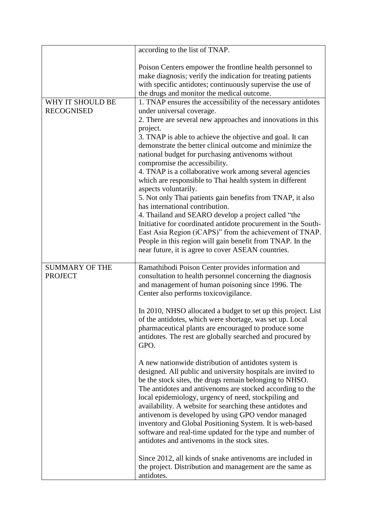|                                         | according to the list of TNAP.                                                                                                                                                                                                                                                                                                                                                                                                                                                                                                                                                                                                                                                                                                                                                                                                                                                                                                                                                                                                                                                                                                           |
|-----------------------------------------|------------------------------------------------------------------------------------------------------------------------------------------------------------------------------------------------------------------------------------------------------------------------------------------------------------------------------------------------------------------------------------------------------------------------------------------------------------------------------------------------------------------------------------------------------------------------------------------------------------------------------------------------------------------------------------------------------------------------------------------------------------------------------------------------------------------------------------------------------------------------------------------------------------------------------------------------------------------------------------------------------------------------------------------------------------------------------------------------------------------------------------------|
|                                         | Poison Centers empower the frontline health personnel to<br>make diagnosis; verify the indication for treating patients<br>with specific antidotes; continuously supervise the use of<br>the drugs and monitor the medical outcome.                                                                                                                                                                                                                                                                                                                                                                                                                                                                                                                                                                                                                                                                                                                                                                                                                                                                                                      |
| WHY IT SHOULD BE<br><b>RECOGNISED</b>   | 1. TNAP ensures the accessibility of the necessary antidotes<br>under universal coverage.<br>2. There are several new approaches and innovations in this<br>project.<br>3. TNAP is able to achieve the objective and goal. It can<br>demonstrate the better clinical outcome and minimize the<br>national budget for purchasing antivenoms without<br>compromise the accessibility.<br>4. TNAP is a collaborative work among several agencies<br>which are responsible to Thai health system in different<br>aspects voluntarily.<br>5. Not only Thai patients gain benefits from TNAP, it also<br>has international contribution.<br>4. Thailand and SEARO develop a project called "the<br>Initiative for coordinated antidote procurement in the South-<br>East Asia Region (iCAPS)" from the achievement of TNAP.<br>People in this region will gain benefit from TNAP. In the<br>near future, it is agree to cover ASEAN countries.                                                                                                                                                                                                 |
| <b>SUMMARY OF THE</b><br><b>PROJECT</b> | Ramathibodi Poison Center provides information and<br>consultation to health personnel concerning the diagnosis<br>and management of human poisoning since 1996. The<br>Center also performs toxicovigilance.<br>In 2010, NHSO allocated a budget to set up this project. List<br>of the antidotes, which were shortage, was set up. Local<br>pharmaceutical plants are encouraged to produce some<br>antidotes. The rest are globally searched and procured by<br>GPO.<br>A new nationwide distribution of antidotes system is<br>designed. All public and university hospitals are invited to<br>be the stock sites, the drugs remain belonging to NHSO.<br>The antidotes and antivenoms are stocked according to the<br>local epidemiology, urgency of need, stockpiling and<br>availability. A website for searching these antidotes and<br>antivenom is developed by using GPO vendor managed<br>inventory and Global Positioning System. It is web-based<br>software and real-time updated for the type and number of<br>antidotes and antivenoms in the stock sites.<br>Since 2012, all kinds of snake antivenoms are included in |
|                                         | the project. Distribution and management are the same as<br>antidotes.                                                                                                                                                                                                                                                                                                                                                                                                                                                                                                                                                                                                                                                                                                                                                                                                                                                                                                                                                                                                                                                                   |